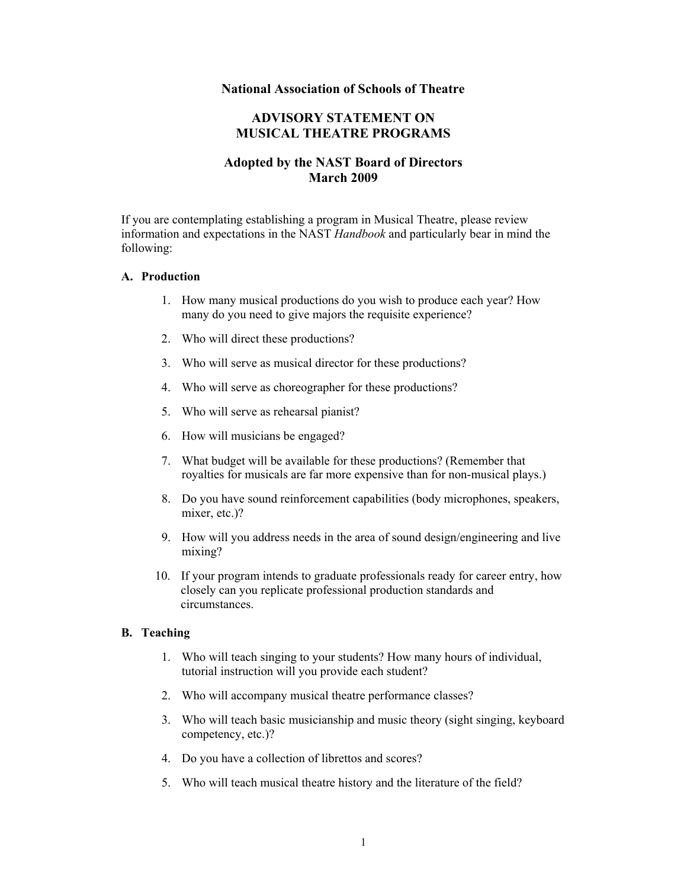### **National Association of Schools of Theatre**

# **ADVISORY STATEMENT ON MUSICAL THEATRE PROGRAMS**

# **Adopted by the NAST Board of Directors March 2009**

If you are contemplating establishing a program in Musical Theatre, please review information and expectations in the NAST *Handbook* and particularly bear in mind the following:

#### **A. Production**

- 1. How many musical productions do you wish to produce each year? How many do you need to give majors the requisite experience?
- 2. Who will direct these productions?
- 3. Who will serve as musical director for these productions?
- 4. Who will serve as choreographer for these productions?
- 5. Who will serve as rehearsal pianist?
- 6. How will musicians be engaged?
- 7. What budget will be available for these productions? (Remember that royalties for musicals are far more expensive than for non-musical plays.)
- 8. Do you have sound reinforcement capabilities (body microphones, speakers, mixer, etc.)?
- 9. How will you address needs in the area of sound design/engineering and live mixing?
- 10. If your program intends to graduate professionals ready for career entry, how closely can you replicate professional production standards and circumstances.

#### **B. Teaching**

- 1. Who will teach singing to your students? How many hours of individual, tutorial instruction will you provide each student?
- 2. Who will accompany musical theatre performance classes?
- 3. Who will teach basic musicianship and music theory (sight singing, keyboard competency, etc.)?
- 4. Do you have a collection of librettos and scores?
- 5. Who will teach musical theatre history and the literature of the field?